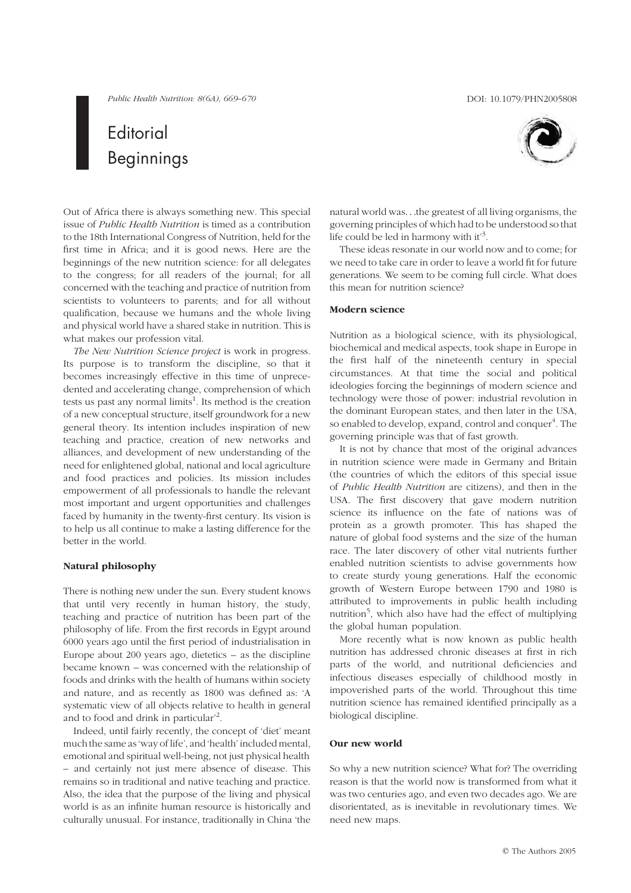Public Health Nutrition: 8(6A), 669–670 DOI: 10.1079/PHN2005808

# **Editorial** Beginnings

Out of Africa there is always something new. This special issue of Public Health Nutrition is timed as a contribution to the 18th International Congress of Nutrition, held for the first time in Africa; and it is good news. Here are the beginnings of the new nutrition science: for all delegates to the congress; for all readers of the journal; for all concerned with the teaching and practice of nutrition from scientists to volunteers to parents; and for all without qualification, because we humans and the whole living and physical world have a shared stake in nutrition. This is what makes our profession vital.

The New Nutrition Science project is work in progress. Its purpose is to transform the discipline, so that it becomes increasingly effective in this time of unprecedented and accelerating change, comprehension of which tests us past any normal limits<sup>1</sup>. Its method is the creation of a new conceptual structure, itself groundwork for a new general theory. Its intention includes inspiration of new teaching and practice, creation of new networks and alliances, and development of new understanding of the need for enlightened global, national and local agriculture and food practices and policies. Its mission includes empowerment of all professionals to handle the relevant most important and urgent opportunities and challenges faced by humanity in the twenty-first century. Its vision is to help us all continue to make a lasting difference for the better in the world.

# Natural philosophy

There is nothing new under the sun. Every student knows that until very recently in human history, the study, teaching and practice of nutrition has been part of the philosophy of life. From the first records in Egypt around 6000 years ago until the first period of industrialisation in Europe about 200 years ago, dietetics – as the discipline became known – was concerned with the relationship of foods and drinks with the health of humans within society and nature, and as recently as 1800 was defined as: 'A systematic view of all objects relative to health in general and to food and drink in particular<sup>3</sup>.

Indeed, until fairly recently, the concept of 'diet' meant much the same as 'way of life', and 'health' included mental, emotional and spiritual well-being, not just physical health – and certainly not just mere absence of disease. This remains so in traditional and native teaching and practice. Also, the idea that the purpose of the living and physical world is as an infinite human resource is historically and culturally unusual. For instance, traditionally in China 'the



natural world was...the greatest of all living organisms, the governing principles of which had to be understood so that life could be led in harmony with it<sup>3</sup>.

These ideas resonate in our world now and to come; for we need to take care in order to leave a world fit for future generations. We seem to be coming full circle. What does this mean for nutrition science?

# Modern science

Nutrition as a biological science, with its physiological, biochemical and medical aspects, took shape in Europe in the first half of the nineteenth century in special circumstances. At that time the social and political ideologies forcing the beginnings of modern science and technology were those of power: industrial revolution in the dominant European states, and then later in the USA, so enabled to develop, expand, control and conquer<sup>4</sup>. The governing principle was that of fast growth.

It is not by chance that most of the original advances in nutrition science were made in Germany and Britain (the countries of which the editors of this special issue of Public Health Nutrition are citizens), and then in the USA. The first discovery that gave modern nutrition science its influence on the fate of nations was of protein as a growth promoter. This has shaped the nature of global food systems and the size of the human race. The later discovery of other vital nutrients further enabled nutrition scientists to advise governments how to create sturdy young generations. Half the economic growth of Western Europe between 1790 and 1980 is attributed to improvements in public health including nutrition<sup>5</sup>, which also have had the effect of multiplying the global human population.

More recently what is now known as public health nutrition has addressed chronic diseases at first in rich parts of the world, and nutritional deficiencies and infectious diseases especially of childhood mostly in impoverished parts of the world. Throughout this time nutrition science has remained identified principally as a biological discipline.

### Our new world

So why a new nutrition science? What for? The overriding reason is that the world now is transformed from what it was two centuries ago, and even two decades ago. We are disorientated, as is inevitable in revolutionary times. We need new maps.